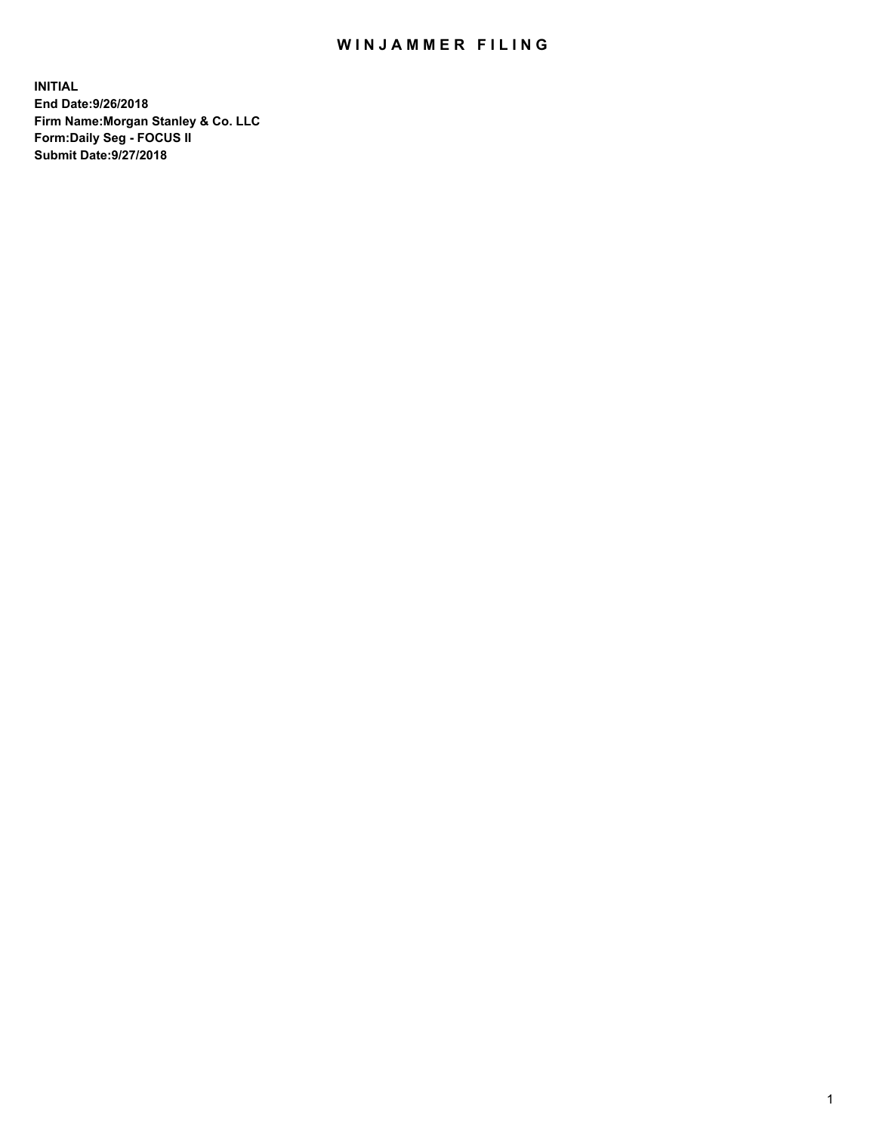## WIN JAMMER FILING

**INITIAL End Date:9/26/2018 Firm Name:Morgan Stanley & Co. LLC Form:Daily Seg - FOCUS II Submit Date:9/27/2018**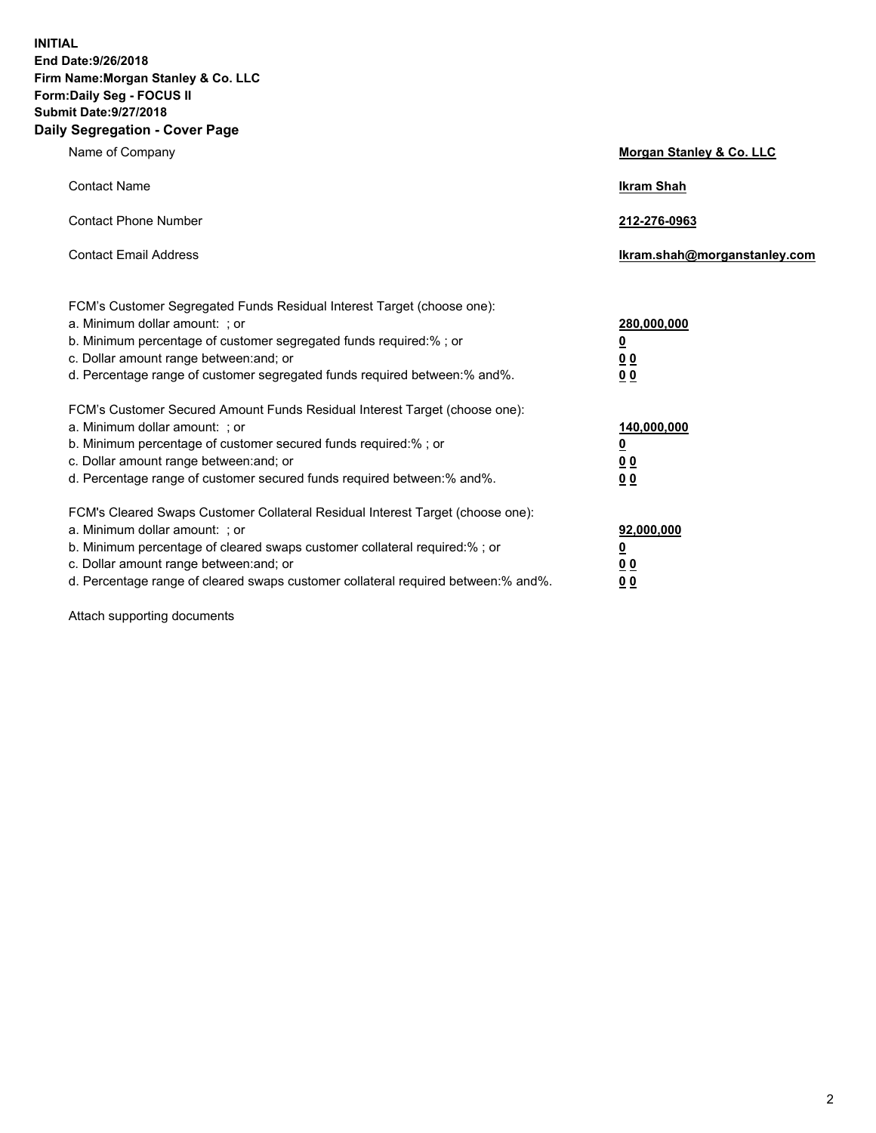**INITIAL End Date:9/26/2018 Firm Name:Morgan Stanley & Co. LLC Form:Daily Seg - FOCUS II Submit Date:9/27/2018 Daily Segregation - Cover Page**

| Name of Company                                                                                                                                                                                                                                                                                                                | Morgan Stanley & Co. LLC                               |
|--------------------------------------------------------------------------------------------------------------------------------------------------------------------------------------------------------------------------------------------------------------------------------------------------------------------------------|--------------------------------------------------------|
| <b>Contact Name</b>                                                                                                                                                                                                                                                                                                            | <b>Ikram Shah</b>                                      |
| <b>Contact Phone Number</b>                                                                                                                                                                                                                                                                                                    | 212-276-0963                                           |
| <b>Contact Email Address</b>                                                                                                                                                                                                                                                                                                   | lkram.shah@morganstanley.com                           |
| FCM's Customer Segregated Funds Residual Interest Target (choose one):<br>a. Minimum dollar amount: ; or<br>b. Minimum percentage of customer segregated funds required:% ; or<br>c. Dollar amount range between: and; or<br>d. Percentage range of customer segregated funds required between:% and%.                         | 280,000,000<br><u>0</u><br><u>0 0</u><br>0 Q           |
| FCM's Customer Secured Amount Funds Residual Interest Target (choose one):<br>a. Minimum dollar amount: ; or<br>b. Minimum percentage of customer secured funds required:%; or<br>c. Dollar amount range between: and; or<br>d. Percentage range of customer secured funds required between:% and%.                            | 140,000,000<br><u>0</u><br><u>00</u><br>0 <sub>0</sub> |
| FCM's Cleared Swaps Customer Collateral Residual Interest Target (choose one):<br>a. Minimum dollar amount: ; or<br>b. Minimum percentage of cleared swaps customer collateral required:% ; or<br>c. Dollar amount range between: and; or<br>d. Percentage range of cleared swaps customer collateral required between:% and%. | 92,000,000<br><u>0</u><br><u>00</u><br>0 <sup>0</sup>  |

Attach supporting documents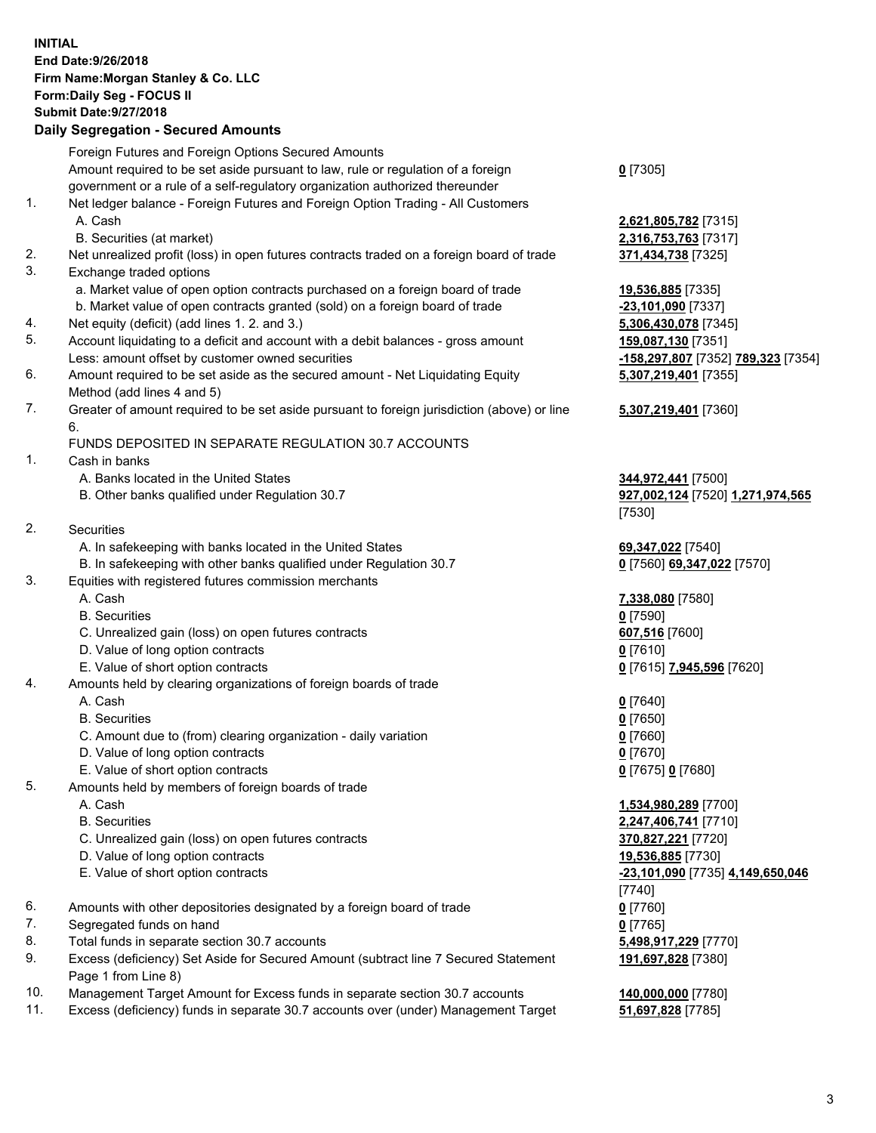## **INITIAL End Date:9/26/2018 Firm Name:Morgan Stanley & Co. LLC Form:Daily Seg - FOCUS II Submit Date:9/27/2018**

## **Daily Segregation - Secured Amounts**

|     | Foreign Futures and Foreign Options Secured Amounts                                         |                                           |
|-----|---------------------------------------------------------------------------------------------|-------------------------------------------|
|     | Amount required to be set aside pursuant to law, rule or regulation of a foreign            | $0$ [7305]                                |
|     | government or a rule of a self-regulatory organization authorized thereunder                |                                           |
| 1.  | Net ledger balance - Foreign Futures and Foreign Option Trading - All Customers             |                                           |
|     | A. Cash                                                                                     | 2,621,805,782 [7315]                      |
|     | B. Securities (at market)                                                                   | 2,316,753,763 [7317]                      |
| 2.  | Net unrealized profit (loss) in open futures contracts traded on a foreign board of trade   | 371,434,738 [7325]                        |
| 3.  | Exchange traded options                                                                     |                                           |
|     | a. Market value of open option contracts purchased on a foreign board of trade              | 19,536,885 [7335]                         |
|     | b. Market value of open contracts granted (sold) on a foreign board of trade                | $-23,101,090$ [7337]                      |
| 4.  | Net equity (deficit) (add lines 1.2. and 3.)                                                | 5,306,430,078 [7345]                      |
| 5.  | Account liquidating to a deficit and account with a debit balances - gross amount           | 159,087,130 [7351]                        |
|     | Less: amount offset by customer owned securities                                            | <mark>-158,297,807</mark> [7352] <u>1</u> |
| 6.  | Amount required to be set aside as the secured amount - Net Liquidating Equity              | 5,307,219,401 [7355]                      |
|     | Method (add lines 4 and 5)                                                                  |                                           |
| 7.  | Greater of amount required to be set aside pursuant to foreign jurisdiction (above) or line | 5,307,219,401 [7360]                      |
|     | 6.<br>FUNDS DEPOSITED IN SEPARATE REGULATION 30.7 ACCOUNTS                                  |                                           |
| 1.  | Cash in banks                                                                               |                                           |
|     | A. Banks located in the United States                                                       | 344,972,441 [7500]                        |
|     | B. Other banks qualified under Regulation 30.7                                              | 927,002,124 [7520] 1                      |
|     |                                                                                             | [7530]                                    |
| 2.  | Securities                                                                                  |                                           |
|     | A. In safekeeping with banks located in the United States                                   | 69,347,022 [7540]                         |
|     | B. In safekeeping with other banks qualified under Regulation 30.7                          | 0 [7560] 69,347,022 [                     |
| 3.  | Equities with registered futures commission merchants                                       |                                           |
|     | A. Cash                                                                                     | 7,338,080 [7580]                          |
|     | <b>B.</b> Securities                                                                        | $0$ [7590]                                |
|     | C. Unrealized gain (loss) on open futures contracts                                         | 607,516 [7600]                            |
|     | D. Value of long option contracts                                                           | $0$ [7610]                                |
|     | E. Value of short option contracts                                                          | 0 [7615] 7,945,596 [7                     |
| 4.  | Amounts held by clearing organizations of foreign boards of trade                           |                                           |
|     | A. Cash                                                                                     | $0$ [7640]                                |
|     | <b>B.</b> Securities                                                                        | $0$ [7650]                                |
|     | C. Amount due to (from) clearing organization - daily variation                             | $0$ [7660]                                |
|     | D. Value of long option contracts                                                           | $0$ [7670]                                |
|     | E. Value of short option contracts                                                          | 0 [7675] 0 [7680]                         |
| 5.  | Amounts held by members of foreign boards of trade                                          |                                           |
|     | A. Cash                                                                                     | 1,534,980,289 [7700]                      |
|     | <b>B.</b> Securities                                                                        | 2,247,406,741 [7710]                      |
|     | C. Unrealized gain (loss) on open futures contracts                                         | 370,827,221 [7720]                        |
|     | D. Value of long option contracts                                                           | 19,536,885 [7730]                         |
|     | E. Value of short option contracts                                                          | <u>-23,101,090</u> [7735] 4,              |
| 6.  | Amounts with other depositories designated by a foreign board of trade                      | [7740]<br>$0$ [7760]                      |
| 7.  | Segregated funds on hand                                                                    | $0$ [7765]                                |
| 8.  | Total funds in separate section 30.7 accounts                                               | 5,498,917,229 [7770]                      |
| 9.  | Excess (deficiency) Set Aside for Secured Amount (subtract line 7 Secured Statement         | 191,697,828 [7380]                        |
|     | Page 1 from Line 8)                                                                         |                                           |
| 10. | Management Target Amount for Excess funds in separate section 30.7 accounts                 | 140,000,000 [7780]                        |

11. Excess (deficiency) funds in separate 30.7 accounts over (under) Management Target **51,697,828** [7785]

**53,763** [7317] b. 290 [7337] 130,078 [7345] Less: amount offset by customer owned securities **-158,297,807** [7352] **789,323** [7354] **5,307,219,401** [7355] **5,307,219,401** [7360]

**2,441** [7500] B. Other banks qualified under Regulation 30.7 **927,002,124** [7520] **1,271,974,565**

B. 10 **69,347,022** [7570]

E. Value of short option contracts **0** [7615] **7,945,596** [7620]

**180,289** [7700] **06,741** [7710] C. Unrealized gain (loss) on open futures contracts **370,827,221** [7720] E. Value of short option contracts **-23,101,090** [7735] **4,149,650,046** 8. Total <u>17,229</u> [7770] **191,697,828** [7380]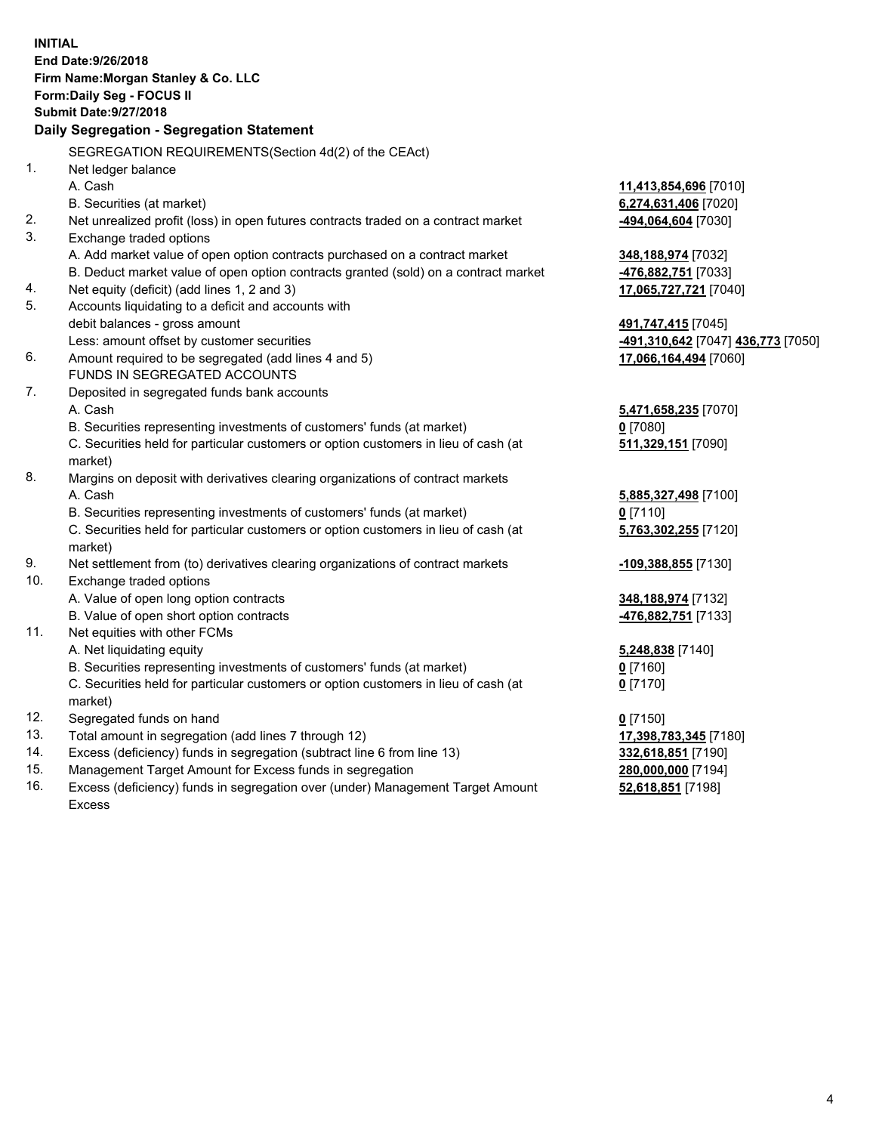**INITIAL End Date:9/26/2018 Firm Name:Morgan Stanley & Co. LLC Form:Daily Seg - FOCUS II Submit Date:9/27/2018 Daily Segregation - Segregation Statement** SEGREGATION REQUIREMENTS(Section 4d(2) of the CEAct) 1. Net ledger balance A. Cash **11,413,854,696** [7010] B. Securities (at market) **6,274,631,406** [7020] 2. Net unrealized profit (loss) in open futures contracts traded on a contract market **-494,064,604** [7030] 3. Exchange traded options A. Add market value of open option contracts purchased on a contract market **348,188,974** [7032] B. Deduct market value of open option contracts granted (sold) on a contract market **-476,882,751** [7033] 4. Net equity (deficit) (add lines 1, 2 and 3) **17,065,727,721** [7040] 5. Accounts liquidating to a deficit and accounts with debit balances - gross amount **491,747,415** [7045] Less: amount offset by customer securities **-491,310,642** [7047] **436,773** [7050] 6. Amount required to be segregated (add lines 4 and 5) **17,066,164,494** [7060] FUNDS IN SEGREGATED ACCOUNTS 7. Deposited in segregated funds bank accounts A. Cash **5,471,658,235** [7070] B. Securities representing investments of customers' funds (at market) **0** [7080] C. Securities held for particular customers or option customers in lieu of cash (at market) **511,329,151** [7090] 8. Margins on deposit with derivatives clearing organizations of contract markets A. Cash **5,885,327,498** [7100] B. Securities representing investments of customers' funds (at market) **0** [7110] C. Securities held for particular customers or option customers in lieu of cash (at market) **5,763,302,255** [7120] 9. Net settlement from (to) derivatives clearing organizations of contract markets **-109,388,855** [7130] 10. Exchange traded options A. Value of open long option contracts **348,188,974** [7132] B. Value of open short option contracts **-476,882,751** [7133] 11. Net equities with other FCMs A. Net liquidating equity **5,248,838** [7140] B. Securities representing investments of customers' funds (at market) **0** [7160] C. Securities held for particular customers or option customers in lieu of cash (at market) **0** [7170] 12. Segregated funds on hand **0** [7150] 13. Total amount in segregation (add lines 7 through 12) **17,398,783,345** [7180] 14. Excess (deficiency) funds in segregation (subtract line 6 from line 13) **332,618,851** [7190] 15. Management Target Amount for Excess funds in segregation **280,000,000** [7194]

16. Excess (deficiency) funds in segregation over (under) Management Target Amount Excess

**52,618,851** [7198]